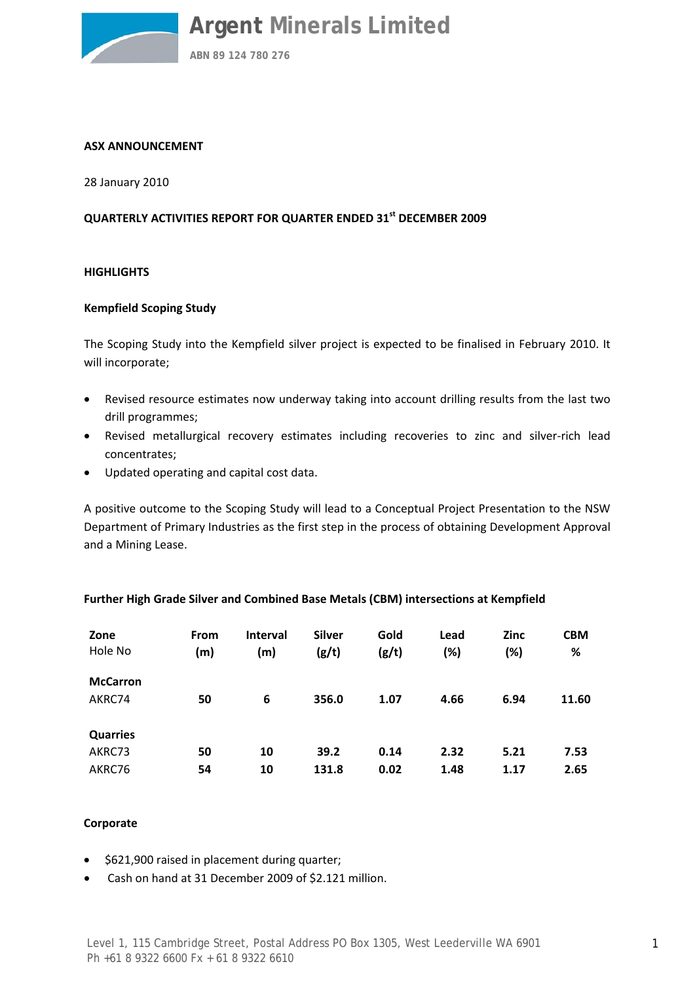

#### **ASX ANNOUNCEMENT**

28 January 2010

#### **QUARTERLY ACTIVITIES REPORT FOR QUARTER ENDED 31st DECEMBER 2009**

#### **HIGHLIGHTS**

#### **Kempfield Scoping Study**

The Scoping Study into the Kempfield silver project is expected to be finalised in February 2010. It will incorporate;

- Revised resource estimates now underway taking into account drilling results from the last two drill programmes;
- Revised metallurgical recovery estimates including recoveries to zinc and silver‐rich lead concentrates;
- Updated operating and capital cost data.

A positive outcome to the Scoping Study will lead to a Conceptual Project Presentation to the NSW Department of Primary Industries as the first step in the process of obtaining Development Approval and a Mining Lease.

| Zone            | <b>From</b> | <b>Interval</b> | <b>Silver</b> | Gold  | Lead | Zinc | <b>CBM</b> |
|-----------------|-------------|-----------------|---------------|-------|------|------|------------|
| Hole No         | (m)         | (m)             | (g/t)         | (g/t) | (%)  | (%)  | %          |
| <b>McCarron</b> |             |                 |               |       |      |      |            |
| AKRC74          | 50          | 6               | 356.0         | 1.07  | 4.66 | 6.94 | 11.60      |
| <b>Quarries</b> |             |                 |               |       |      |      |            |
| AKRC73          | 50          | 10              | 39.2          | 0.14  | 2.32 | 5.21 | 7.53       |
| AKRC76          | 54          | 10              | 131.8         | 0.02  | 1.48 | 1.17 | 2.65       |

#### **Further High Grade Silver and Combined Base Metals (CBM) intersections at Kempfield**

#### **Corporate**

- \$621,900 raised in placement during quarter;
- Cash on hand at 31 December 2009 of \$2.121 million.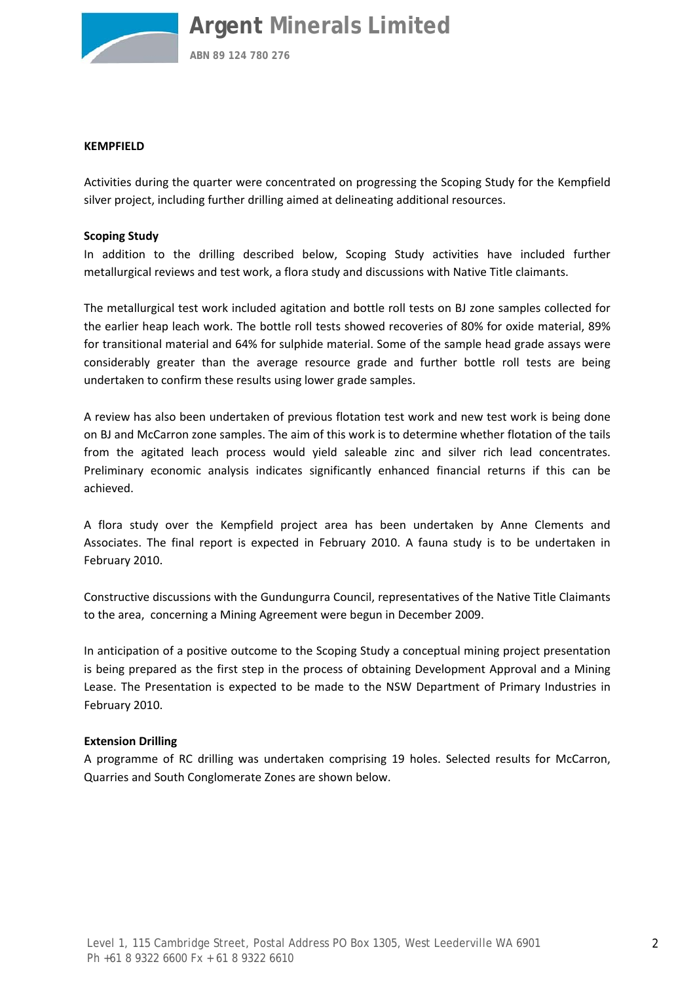

**ABN 89 124 780 276**

#### **KEMPFIELD**

Activities during the quarter were concentrated on progressing the Scoping Study for the Kempfield silver project, including further drilling aimed at delineating additional resources.

#### **Scoping Study**

In addition to the drilling described below, Scoping Study activities have included further metallurgical reviews and test work, a flora study and discussions with Native Title claimants.

The metallurgical test work included agitation and bottle roll tests on BJ zone samples collected for the earlier heap leach work. The bottle roll tests showed recoveries of 80% for oxide material, 89% for transitional material and 64% for sulphide material. Some of the sample head grade assays were considerably greater than the average resource grade and further bottle roll tests are being undertaken to confirm these results using lower grade samples.

A review has also been undertaken of previous flotation test work and new test work is being done on BJ and McCarron zone samples. The aim of this work is to determine whether flotation of the tails from the agitated leach process would yield saleable zinc and silver rich lead concentrates. Preliminary economic analysis indicates significantly enhanced financial returns if this can be achieved.

A flora study over the Kempfield project area has been undertaken by Anne Clements and Associates. The final report is expected in February 2010. A fauna study is to be undertaken in February 2010.

Constructive discussions with the Gundungurra Council, representatives of the Native Title Claimants to the area, concerning a Mining Agreement were begun in December 2009.

In anticipation of a positive outcome to the Scoping Study a conceptual mining project presentation is being prepared as the first step in the process of obtaining Development Approval and a Mining Lease. The Presentation is expected to be made to the NSW Department of Primary Industries in February 2010.

#### **Extension Drilling**

A programme of RC drilling was undertaken comprising 19 holes. Selected results for McCarron, Quarries and South Conglomerate Zones are shown below.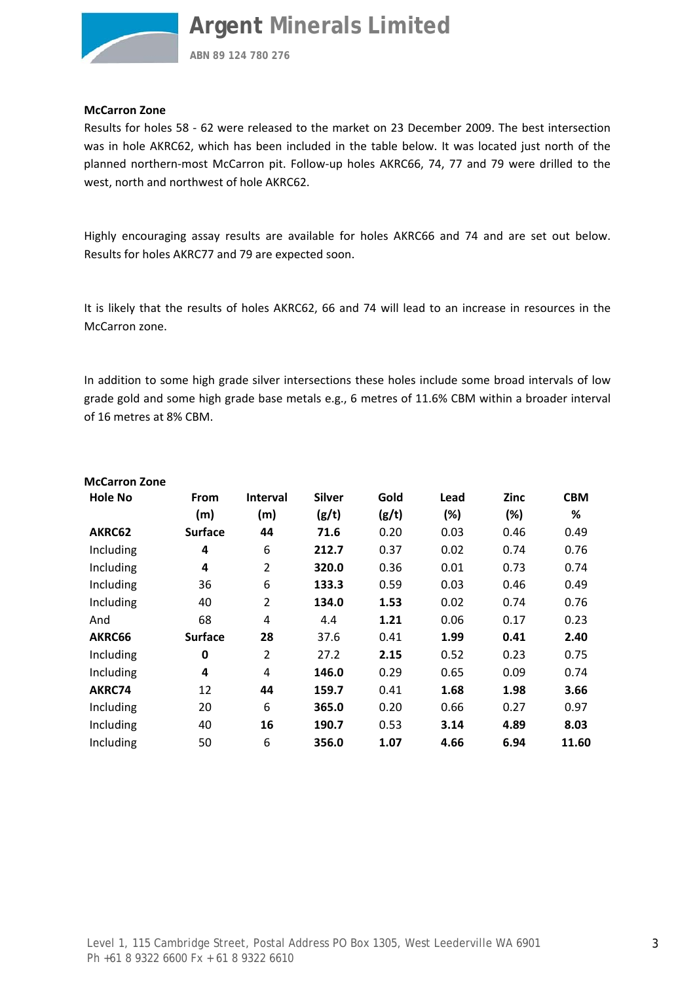

**ABN 89 124 780 276**

#### **McCarron Zone**

Results for holes 58 ‐ 62 were released to the market on 23 December 2009. The best intersection was in hole AKRC62, which has been included in the table below. It was located just north of the planned northern-most McCarron pit. Follow-up holes AKRC66, 74, 77 and 79 were drilled to the west, north and northwest of hole AKRC62.

Highly encouraging assay results are available for holes AKRC66 and 74 and are set out below. Results for holes AKRC77 and 79 are expected soon.

It is likely that the results of holes AKRC62, 66 and 74 will lead to an increase in resources in the McCarron zone.

In addition to some high grade silver intersections these holes include some broad intervals of low grade gold and some high grade base metals e.g., 6 metres of 11.6% CBM within a broader interval of 16 metres at 8% CBM.

| <b>McCarron Zone</b> |                |                 |               |       |      |      |            |
|----------------------|----------------|-----------------|---------------|-------|------|------|------------|
| <b>Hole No</b>       | <b>From</b>    | <b>Interval</b> | <b>Silver</b> | Gold  | Lead | Zinc | <b>CBM</b> |
|                      | (m)            | (m)             | (g/t)         | (g/t) | (%)  | (%)  | %          |
| AKRC62               | <b>Surface</b> | 44              | 71.6          | 0.20  | 0.03 | 0.46 | 0.49       |
| Including            | 4              | 6               | 212.7         | 0.37  | 0.02 | 0.74 | 0.76       |
| Including            | 4              | $\overline{2}$  | 320.0         | 0.36  | 0.01 | 0.73 | 0.74       |
| Including            | 36             | 6               | 133.3         | 0.59  | 0.03 | 0.46 | 0.49       |
| Including            | 40             | $\overline{2}$  | 134.0         | 1.53  | 0.02 | 0.74 | 0.76       |
| And                  | 68             | 4               | 4.4           | 1.21  | 0.06 | 0.17 | 0.23       |
| AKRC66               | <b>Surface</b> | 28              | 37.6          | 0.41  | 1.99 | 0.41 | 2.40       |
| Including            | 0              | 2               | 27.2          | 2.15  | 0.52 | 0.23 | 0.75       |
| Including            | 4              | 4               | 146.0         | 0.29  | 0.65 | 0.09 | 0.74       |
| AKRC74               | 12             | 44              | 159.7         | 0.41  | 1.68 | 1.98 | 3.66       |
| Including            | 20             | 6               | 365.0         | 0.20  | 0.66 | 0.27 | 0.97       |
| Including            | 40             | 16              | 190.7         | 0.53  | 3.14 | 4.89 | 8.03       |
| Including            | 50             | 6               | 356.0         | 1.07  | 4.66 | 6.94 | 11.60      |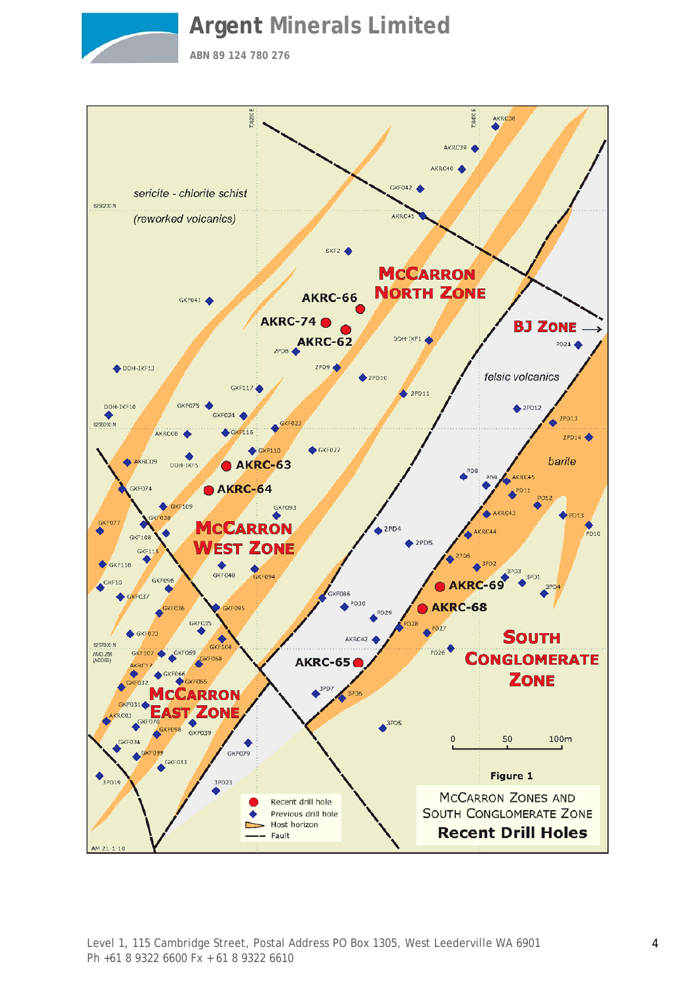

**ABN 89 124 780 276**

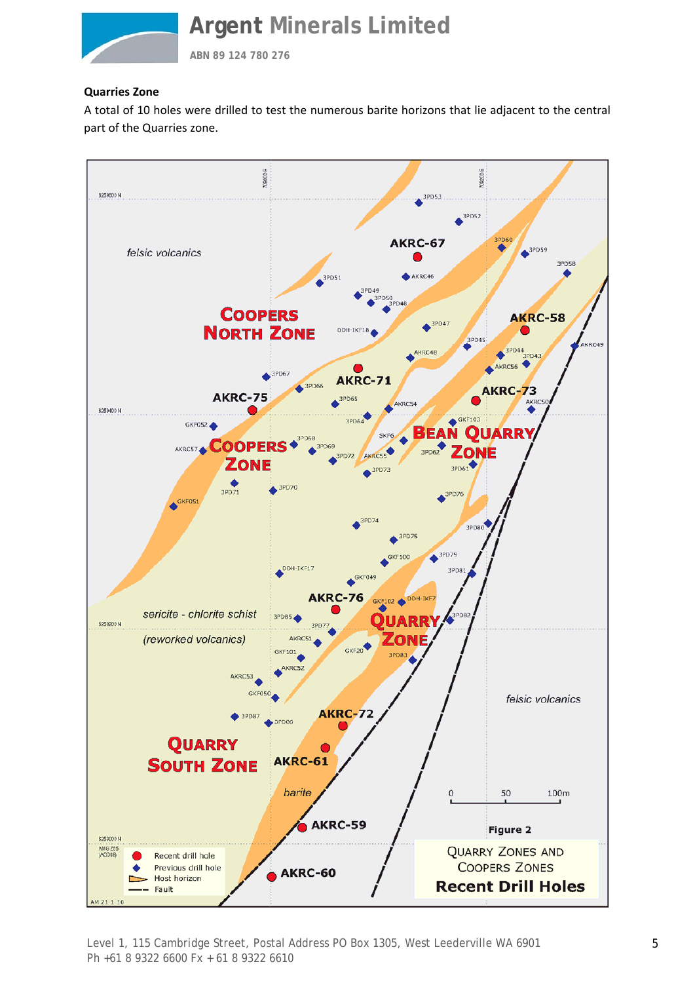

**ABN 89 124 780 276**

#### **Quarries Zone**

A total of 10 holes were drilled to test the numerous barite horizons that lie adjacent to the central part of the Quarries zone.



Level 1, 115 Cambridge Street, Postal Address PO Box 1305, West Leederville WA 6901 Ph +61 8 9322 6600 Fx + 61 8 9322 6610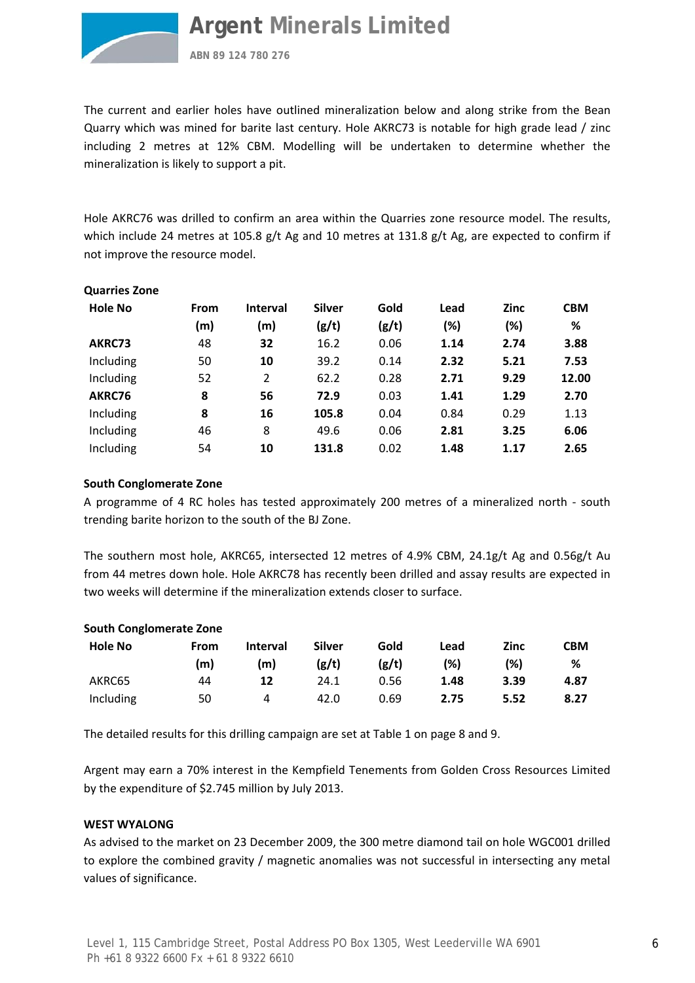

**Quarries Zone** 

**Argent Minerals Limited**

**ABN 89 124 780 276**

The current and earlier holes have outlined mineralization below and along strike from the Bean Quarry which was mined for barite last century. Hole AKRC73 is notable for high grade lead / zinc including 2 metres at 12% CBM. Modelling will be undertaken to determine whether the mineralization is likely to support a pit.

Hole AKRC76 was drilled to confirm an area within the Quarries zone resource model. The results, which include 24 metres at 105.8 g/t Ag and 10 metres at 131.8 g/t Ag, are expected to confirm if not improve the resource model.

| Quarries Zone  |      |                 |               |       |      |             |            |
|----------------|------|-----------------|---------------|-------|------|-------------|------------|
| <b>Hole No</b> | From | <b>Interval</b> | <b>Silver</b> | Gold  | Lead | <b>Zinc</b> | <b>CBM</b> |
|                | (m)  | (m)             | (g/t)         | (g/t) | (%)  | (%)         | %          |
| AKRC73         | 48   | 32              | 16.2          | 0.06  | 1.14 | 2.74        | 3.88       |
| Including      | 50   | 10              | 39.2          | 0.14  | 2.32 | 5.21        | 7.53       |
| Including      | 52   | 2               | 62.2          | 0.28  | 2.71 | 9.29        | 12.00      |
| AKRC76         | 8    | 56              | 72.9          | 0.03  | 1.41 | 1.29        | 2.70       |
| Including      | 8    | 16              | 105.8         | 0.04  | 0.84 | 0.29        | 1.13       |
| Including      | 46   | 8               | 49.6          | 0.06  | 2.81 | 3.25        | 6.06       |
| Including      | 54   | 10              | 131.8         | 0.02  | 1.48 | 1.17        | 2.65       |

#### **South Conglomerate Zone**

A programme of 4 RC holes has tested approximately 200 metres of a mineralized north ‐ south trending barite horizon to the south of the BJ Zone.

The southern most hole, AKRC65, intersected 12 metres of 4.9% CBM, 24.1g/t Ag and 0.56g/t Au from 44 metres down hole. Hole AKRC78 has recently been drilled and assay results are expected in two weeks will determine if the mineralization extends closer to surface.

| <b>Hole No</b> | From | <b>Interval</b> | <b>Silver</b> | Gold  | Lead | <b>Zinc</b> | СВМ  |
|----------------|------|-----------------|---------------|-------|------|-------------|------|
|                | (m)  | (m)             | (g/t)         | (g/t) | (%)  | (%)         | %    |
| AKRC65         | 44   | 12              | 24.1          | 0.56  | 1.48 | 3.39        | 4.87 |
| Including      | 50   | 4               | 42.0          | 0.69  | 2.75 | 5.52        | 8.27 |

The detailed results for this drilling campaign are set at Table 1 on page 8 and 9.

Argent may earn a 70% interest in the Kempfield Tenements from Golden Cross Resources Limited by the expenditure of \$2.745 million by July 2013.

#### **WEST WYALONG**

As advised to the market on 23 December 2009, the 300 metre diamond tail on hole WGC001 drilled to explore the combined gravity / magnetic anomalies was not successful in intersecting any metal values of significance.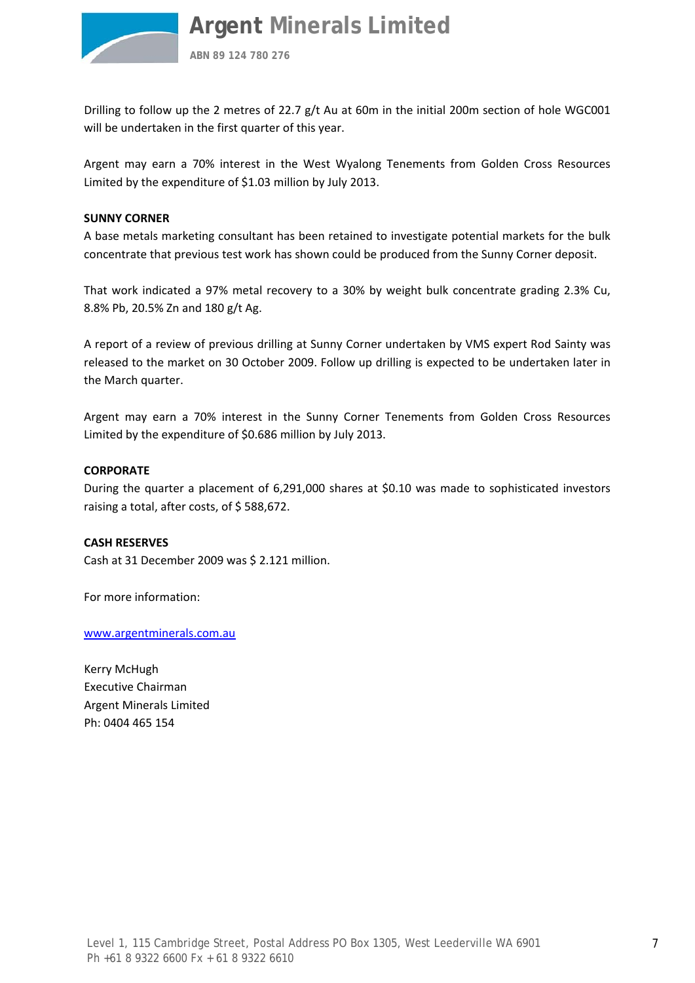

**ABN 89 124 780 276**

Drilling to follow up the 2 metres of 22.7 g/t Au at 60m in the initial 200m section of hole WGC001 will be undertaken in the first quarter of this year.

Argent may earn a 70% interest in the West Wyalong Tenements from Golden Cross Resources Limited by the expenditure of \$1.03 million by July 2013.

#### **SUNNY CORNER**

A base metals marketing consultant has been retained to investigate potential markets for the bulk concentrate that previous test work has shown could be produced from the Sunny Corner deposit.

That work indicated a 97% metal recovery to a 30% by weight bulk concentrate grading 2.3% Cu, 8.8% Pb, 20.5% Zn and 180 g/t Ag.

A report of a review of previous drilling at Sunny Corner undertaken by VMS expert Rod Sainty was released to the market on 30 October 2009. Follow up drilling is expected to be undertaken later in the March quarter.

Argent may earn a 70% interest in the Sunny Corner Tenements from Golden Cross Resources Limited by the expenditure of \$0.686 million by July 2013.

#### **CORPORATE**

During the quarter a placement of 6,291,000 shares at \$0.10 was made to sophisticated investors raising a total, after costs, of \$588,672.

#### **CASH RESERVES**

Cash at 31 December 2009 was \$ 2.121 million.

For more information:

[www.argentminerals.com.au](http://www.argentminerals.com.au/)

Kerry McHugh Executive Chairman Argent Minerals Limited Ph: 0404 465 154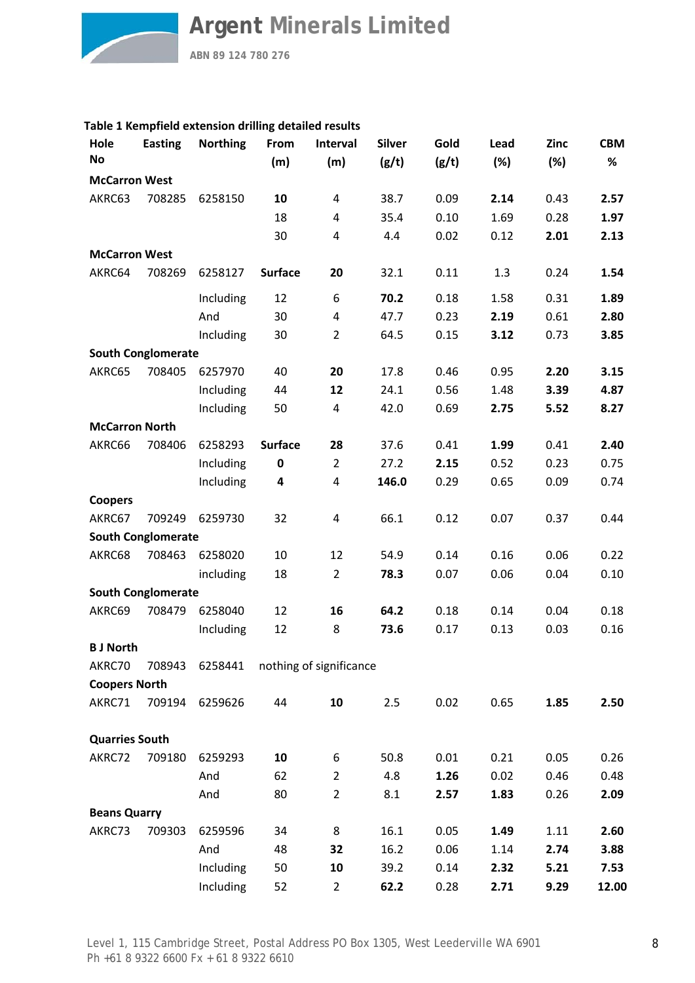**ABN 89 124 780 276**

#### **Table 1 Kempfield extension drilling detailed results**

| Hole<br><b>No</b>     | <b>Easting</b>            | <b>Northing</b> | From<br>(m)    | Interval<br>(m)         | <b>Silver</b><br>(g/t) | Gold<br>(g/t) | Lead<br>(%) | <b>Zinc</b><br>(%) | <b>CBM</b><br>% |
|-----------------------|---------------------------|-----------------|----------------|-------------------------|------------------------|---------------|-------------|--------------------|-----------------|
| <b>McCarron West</b>  |                           |                 |                |                         |                        |               |             |                    |                 |
| AKRC63                | 708285                    | 6258150         | 10             | 4                       | 38.7                   | 0.09          | 2.14        | 0.43               | 2.57            |
|                       |                           |                 | 18             | 4                       | 35.4                   | 0.10          | 1.69        | 0.28               | 1.97            |
|                       |                           |                 | 30             | 4                       | 4.4                    | 0.02          | 0.12        | 2.01               | 2.13            |
| <b>McCarron West</b>  |                           |                 |                |                         |                        |               |             |                    |                 |
| AKRC64                | 708269                    | 6258127         | <b>Surface</b> | 20                      | 32.1                   | 0.11          | 1.3         | 0.24               | 1.54            |
|                       |                           | Including       | 12             | 6                       | 70.2                   | 0.18          | 1.58        | 0.31               | 1.89            |
|                       |                           | And             | 30             | 4                       | 47.7                   | 0.23          | 2.19        | 0.61               | 2.80            |
|                       |                           | Including       | 30             | $\overline{2}$          | 64.5                   | 0.15          | 3.12        | 0.73               | 3.85            |
|                       | <b>South Conglomerate</b> |                 |                |                         |                        |               |             |                    |                 |
| AKRC65                | 708405                    | 6257970         | 40             | 20                      | 17.8                   | 0.46          | 0.95        | 2.20               | 3.15            |
|                       |                           | Including       | 44             | 12                      | 24.1                   | 0.56          | 1.48        | 3.39               | 4.87            |
|                       |                           | Including       | 50             | 4                       | 42.0                   | 0.69          | 2.75        | 5.52               | 8.27            |
| <b>McCarron North</b> |                           |                 |                |                         |                        |               |             |                    |                 |
| AKRC66                | 708406                    | 6258293         | <b>Surface</b> | 28                      | 37.6                   | 0.41          | 1.99        | 0.41               | 2.40            |
|                       |                           | Including       | 0              | $\overline{2}$          | 27.2                   | 2.15          | 0.52        | 0.23               | 0.75            |
|                       |                           | Including       | 4              | 4                       | 146.0                  | 0.29          | 0.65        | 0.09               | 0.74            |
| <b>Coopers</b>        |                           |                 |                |                         |                        |               |             |                    |                 |
| AKRC67                | 709249                    | 6259730         | 32             | 4                       | 66.1                   | 0.12          | 0.07        | 0.37               | 0.44            |
|                       | <b>South Conglomerate</b> |                 |                |                         |                        |               |             |                    |                 |
| AKRC68                | 708463                    | 6258020         | 10             | 12                      | 54.9                   | 0.14          | 0.16        | 0.06               | 0.22            |
|                       |                           | including       | 18             | $\overline{2}$          | 78.3                   | 0.07          | 0.06        | 0.04               | 0.10            |
|                       | <b>South Conglomerate</b> |                 |                |                         |                        |               |             |                    |                 |
| AKRC69                | 708479                    | 6258040         | 12             | 16                      | 64.2                   | 0.18          | 0.14        | 0.04               | 0.18            |
|                       |                           | Including       | 12             | 8                       | 73.6                   | 0.17          | 0.13        | 0.03               | 0.16            |
| <b>B J North</b>      |                           |                 |                |                         |                        |               |             |                    |                 |
| AKRC70                | 708943                    | 6258441         |                | nothing of significance |                        |               |             |                    |                 |
| <b>Coopers North</b>  |                           |                 |                |                         |                        |               |             |                    |                 |
| AKRC71                | 709194                    | 6259626         | 44             | 10                      | 2.5                    | 0.02          | 0.65        | 1.85               | 2.50            |
| <b>Quarries South</b> |                           |                 |                |                         |                        |               |             |                    |                 |
| AKRC72                | 709180                    | 6259293         | 10             | 6                       | 50.8                   | 0.01          | 0.21        | 0.05               | 0.26            |
|                       |                           | And             | 62             | $\overline{2}$          | 4.8                    | 1.26          | 0.02        | 0.46               | 0.48            |
|                       |                           | And             | 80             | $\overline{2}$          | 8.1                    | 2.57          | 1.83        | 0.26               | 2.09            |
| <b>Beans Quarry</b>   |                           |                 |                |                         |                        |               |             |                    |                 |
| AKRC73                | 709303                    | 6259596         | 34             | 8                       | 16.1                   | 0.05          | 1.49        | 1.11               | 2.60            |
|                       |                           | And             | 48             | 32                      | 16.2                   | 0.06          | 1.14        | 2.74               | 3.88            |
|                       |                           | Including       | 50             | 10                      | 39.2                   | 0.14          | 2.32        | 5.21               | 7.53            |
|                       |                           | Including       | 52             | $\overline{2}$          | 62.2                   | 0.28          | 2.71        | 9.29               | 12.00           |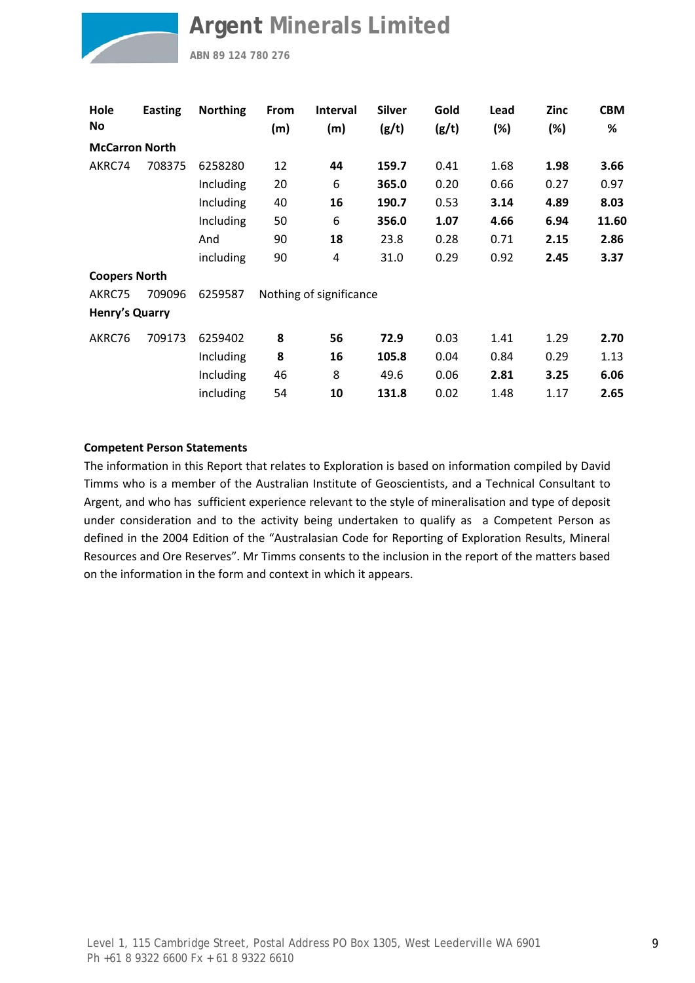

**ABN 89 124 780 276**

| Hole<br>No            | <b>Easting</b> | <b>Northing</b> | From<br>(m) | <b>Interval</b><br>(m)  | <b>Silver</b><br>(g/t) | Gold<br>(g/t) | Lead<br>(%) | <b>Zinc</b><br>(%) | <b>CBM</b><br>$\%$ |
|-----------------------|----------------|-----------------|-------------|-------------------------|------------------------|---------------|-------------|--------------------|--------------------|
| <b>McCarron North</b> |                |                 |             |                         |                        |               |             |                    |                    |
| AKRC74                | 708375         | 6258280         | 12          | 44                      | 159.7                  | 0.41          | 1.68        | 1.98               | 3.66               |
|                       |                | Including       | 20          | 6                       | 365.0                  | 0.20          | 0.66        | 0.27               | 0.97               |
|                       |                | Including       | 40          | 16                      | 190.7                  | 0.53          | 3.14        | 4.89               | 8.03               |
|                       |                | Including       | 50          | 6                       | 356.0                  | 1.07          | 4.66        | 6.94               | 11.60              |
|                       |                | And             | 90          | 18                      | 23.8                   | 0.28          | 0.71        | 2.15               | 2.86               |
|                       |                | including       | 90          | 4                       | 31.0                   | 0.29          | 0.92        | 2.45               | 3.37               |
| <b>Coopers North</b>  |                |                 |             |                         |                        |               |             |                    |                    |
| AKRC75                | 709096         | 6259587         |             | Nothing of significance |                        |               |             |                    |                    |
| Henry's Quarry        |                |                 |             |                         |                        |               |             |                    |                    |
| AKRC76                | 709173         | 6259402         | 8           | 56                      | 72.9                   | 0.03          | 1.41        | 1.29               | 2.70               |
|                       |                | Including       | 8           | 16                      | 105.8                  | 0.04          | 0.84        | 0.29               | 1.13               |
|                       |                | Including       | 46          | 8                       | 49.6                   | 0.06          | 2.81        | 3.25               | 6.06               |
|                       |                | including       | 54          | 10                      | 131.8                  | 0.02          | 1.48        | 1.17               | 2.65               |

#### **Competent Person Statements**

The information in this Report that relates to Exploration is based on information compiled by David Timms who is a member of the Australian Institute of Geoscientists, and a Technical Consultant to Argent, and who has sufficient experience relevant to the style of mineralisation and type of deposit under consideration and to the activity being undertaken to qualify as a Competent Person as defined in the 2004 Edition of the "Australasian Code for Reporting of Exploration Results, Mineral Resources and Ore Reserves". Mr Timms consents to the inclusion in the report of the matters based on the information in the form and context in which it appears.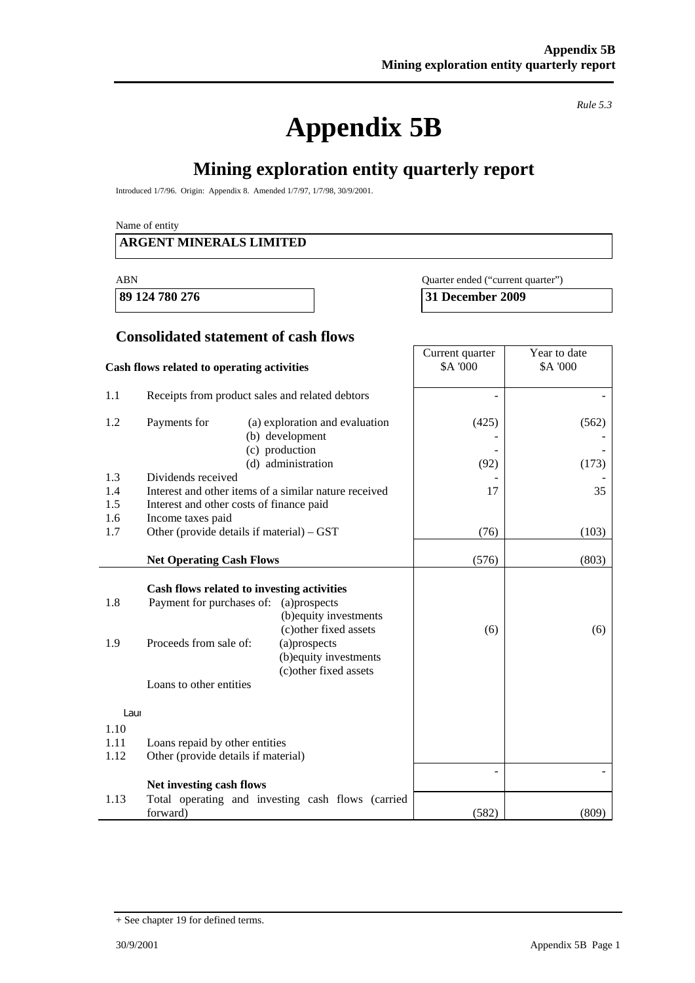# **Appendix 5B**

*Rule 5.3* 

٦

## **Mining exploration entity quarterly report**

Introduced 1/7/96. Origin: Appendix 8. Amended 1/7/97, 1/7/98, 30/9/2001.

Name of entity

#### **ARGENT MINERALS LIMITED**

| ABN | Quarter ended ("current quarter") |
|-----|-----------------------------------|
|-----|-----------------------------------|

**89 124 780 276 31 December 2009** 

#### **Consolidated statement of cash flows**

|                                    | Cash flows related to operating activities                                                                                                                                                                                                                                                             | Current quarter<br>\$A '000 | Year to date<br>\$A '000 |
|------------------------------------|--------------------------------------------------------------------------------------------------------------------------------------------------------------------------------------------------------------------------------------------------------------------------------------------------------|-----------------------------|--------------------------|
| 1.1                                | Receipts from product sales and related debtors                                                                                                                                                                                                                                                        |                             |                          |
| 1.2                                | Payments for<br>(a) exploration and evaluation<br>(b) development<br>(c) production<br>(d) administration                                                                                                                                                                                              | (425)<br>(92)               | (562)<br>(173)           |
| 1.3                                | Dividends received                                                                                                                                                                                                                                                                                     |                             |                          |
| 1.4<br>1.5                         | Interest and other items of a similar nature received<br>Interest and other costs of finance paid                                                                                                                                                                                                      | 17                          | 35                       |
| 1.6                                | Income taxes paid                                                                                                                                                                                                                                                                                      |                             |                          |
| 1.7                                | Other (provide details if material) – GST                                                                                                                                                                                                                                                              | (76)                        | (103)                    |
|                                    | <b>Net Operating Cash Flows</b>                                                                                                                                                                                                                                                                        | (576)                       | (803)                    |
| 1.8<br>1.9<br>Laur<br>1.10<br>1.11 | Cash flows related to investing activities<br>Payment for purchases of:<br>(a)prospects<br>(b) equity investments<br>(c) other fixed assets<br>Proceeds from sale of:<br>(a)prospects<br>(b) equity investments<br>(c) other fixed assets<br>Loans to other entities<br>Loans repaid by other entities | (6)                         | (6)                      |
| 1.12                               | Other (provide details if material)                                                                                                                                                                                                                                                                    |                             |                          |
|                                    | Net investing cash flows                                                                                                                                                                                                                                                                               |                             |                          |
| 1.13                               | Total operating and investing cash flows (carried<br>forward)                                                                                                                                                                                                                                          | (582)                       | (809)                    |

<sup>+</sup> See chapter 19 for defined terms.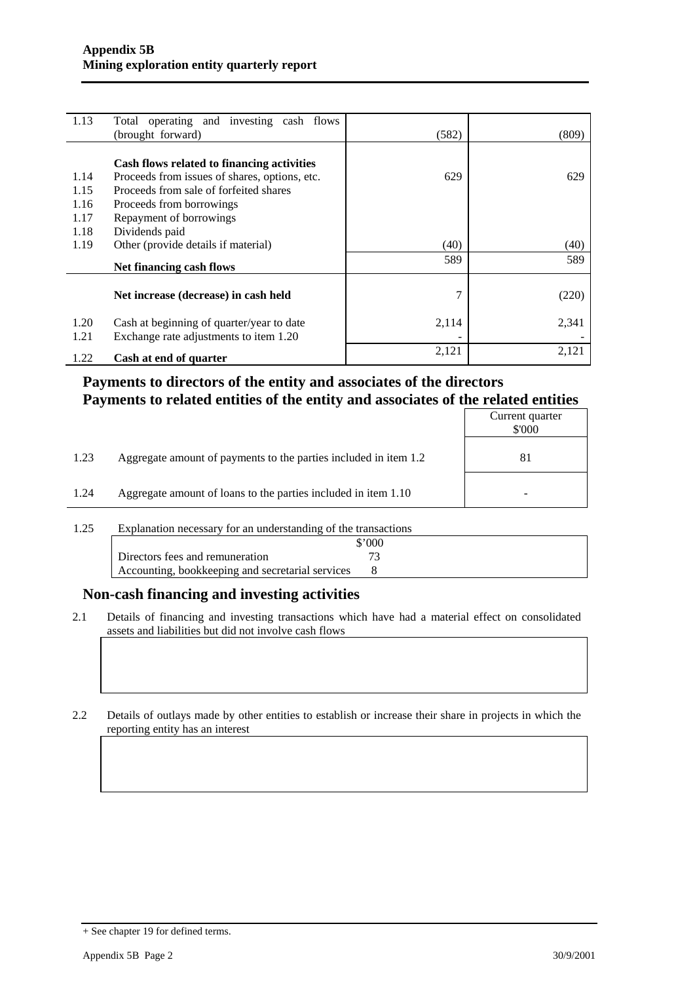| 1.13 | Total operating and investing cash flows      |       |       |
|------|-----------------------------------------------|-------|-------|
|      | (brought forward)                             | (582) | (809) |
|      |                                               |       |       |
|      | Cash flows related to financing activities    |       |       |
| 1.14 | Proceeds from issues of shares, options, etc. | 629   | 629   |
| 1.15 | Proceeds from sale of forfeited shares        |       |       |
| 1.16 | Proceeds from borrowings                      |       |       |
| 1.17 | Repayment of borrowings                       |       |       |
| 1.18 | Dividends paid                                |       |       |
| 1.19 | Other (provide details if material)           | (40)  | (40)  |
|      | Net financing cash flows                      | 589   | 589   |
|      |                                               |       |       |
|      | Net increase (decrease) in cash held          | 7     | (220) |
| 1.20 | Cash at beginning of quarter/year to date     | 2,114 | 2,341 |
| 1.21 | Exchange rate adjustments to item 1.20        |       |       |
| 1.22 | Cash at end of quarter                        | 2,121 | 2,121 |

## **Payments to directors of the entity and associates of the directors Payments to related entities of the entity and associates of the related entities**

|      |                                                                  | Current quarter<br>\$'000 |
|------|------------------------------------------------------------------|---------------------------|
| 1.23 | Aggregate amount of payments to the parties included in item 1.2 | 81                        |
| 1.24 | Aggregate amount of loans to the parties included in item 1.10   | -                         |

1.25 Explanation necessary for an understanding of the transactions

|                                                  | 000 |  |
|--------------------------------------------------|-----|--|
| Directors fees and remuneration                  |     |  |
| Accounting, bookkeeping and secretarial services |     |  |

#### **Non-cash financing and investing activities**

2.1 Details of financing and investing transactions which have had a material effect on consolidated assets and liabilities but did not involve cash flows

2.2 Details of outlays made by other entities to establish or increase their share in projects in which the reporting entity has an interest

<sup>+</sup> See chapter 19 for defined terms.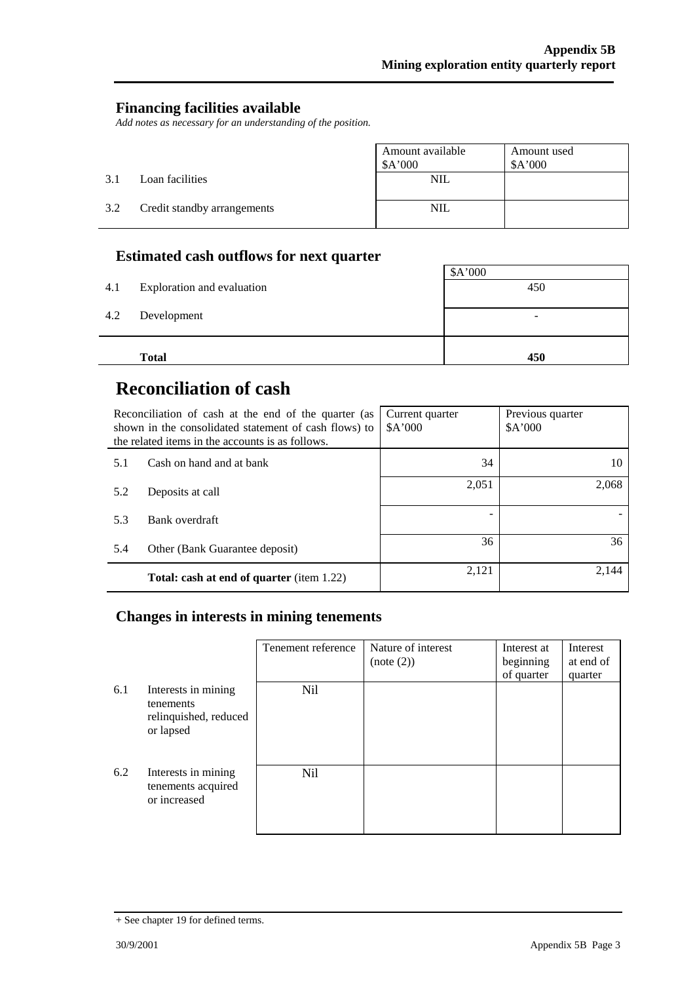#### **Financing facilities available**

*Add notes as necessary for an understanding of the position.* 

|     |                             | Amount available<br>\$A'000 | Amount used<br>A'000 |
|-----|-----------------------------|-----------------------------|----------------------|
| 3.1 | Loan facilities             | <b>NIL</b>                  |                      |
| 3.2 | Credit standby arrangements | <b>NIL</b>                  |                      |

## **Estimated cash outflows for next quarter**

|     |                            | \$A'000                  |
|-----|----------------------------|--------------------------|
| 4.1 | Exploration and evaluation | 450                      |
| 4.2 | Development                | $\overline{\phantom{0}}$ |
|     | <b>Total</b>               | 450                      |

## **Reconciliation of cash**

|     | Reconciliation of cash at the end of the quarter (as<br>shown in the consolidated statement of cash flows) to<br>the related items in the accounts is as follows. | Current quarter<br>A'000 | Previous quarter<br>A'000 |
|-----|-------------------------------------------------------------------------------------------------------------------------------------------------------------------|--------------------------|---------------------------|
| 5.1 | Cash on hand and at bank                                                                                                                                          | 34                       | 10                        |
| 5.2 | Deposits at call                                                                                                                                                  | 2,051                    | 2,068                     |
| 5.3 | Bank overdraft                                                                                                                                                    |                          |                           |
| 5.4 | Other (Bank Guarantee deposit)                                                                                                                                    | 36                       | 36                        |
|     | <b>Total: cash at end of quarter (item 1.22)</b>                                                                                                                  | 2,121                    | 2.144                     |

## **Changes in interests in mining tenements**

|     |                                                                        | Tenement reference | Nature of interest<br>(note (2)) | Interest at<br>beginning<br>of quarter | Interest<br>at end of<br>quarter |
|-----|------------------------------------------------------------------------|--------------------|----------------------------------|----------------------------------------|----------------------------------|
| 6.1 | Interests in mining<br>tenements<br>relinquished, reduced<br>or lapsed | Nil.               |                                  |                                        |                                  |
| 6.2 | Interests in mining<br>tenements acquired<br>or increased              | Nil                |                                  |                                        |                                  |

<sup>+</sup> See chapter 19 for defined terms.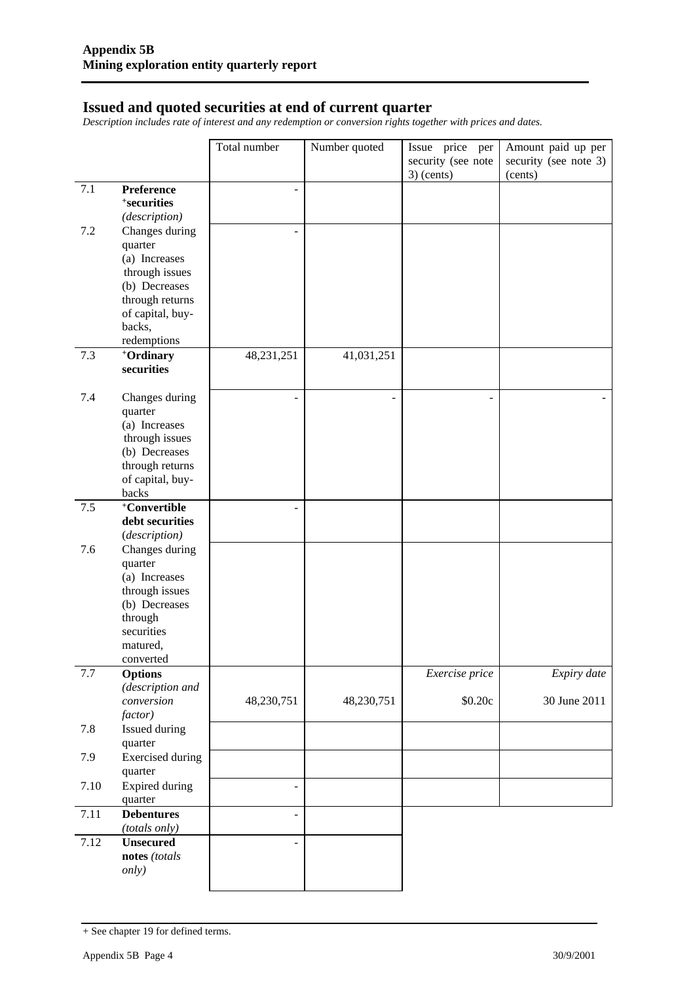#### **Issued and quoted securities at end of current quarter**

*Description includes rate of interest and any redemption or conversion rights together with prices and dates.* 

|         |                                     | Total number   | Number quoted | Issue price per    | Amount paid up per    |
|---------|-------------------------------------|----------------|---------------|--------------------|-----------------------|
|         |                                     |                |               | security (see note | security (see note 3) |
|         |                                     |                |               | $3)$ (cents)       | (cents)               |
| 7.1     | Preference                          |                |               |                    |                       |
|         | <sup>+</sup> securities             |                |               |                    |                       |
|         | (description)                       |                |               |                    |                       |
| 7.2     | Changes during                      |                |               |                    |                       |
|         | quarter                             |                |               |                    |                       |
|         | (a) Increases                       |                |               |                    |                       |
|         | through issues                      |                |               |                    |                       |
|         | (b) Decreases                       |                |               |                    |                       |
|         | through returns<br>of capital, buy- |                |               |                    |                       |
|         | backs,                              |                |               |                    |                       |
|         | redemptions                         |                |               |                    |                       |
| 7.3     | +Ordinary                           | 48,231,251     | 41,031,251    |                    |                       |
|         | securities                          |                |               |                    |                       |
|         |                                     |                |               |                    |                       |
| 7.4     | Changes during                      |                | ٠             |                    |                       |
|         | quarter                             |                |               |                    |                       |
|         | (a) Increases                       |                |               |                    |                       |
|         | through issues                      |                |               |                    |                       |
|         | (b) Decreases                       |                |               |                    |                       |
|         | through returns                     |                |               |                    |                       |
|         | of capital, buy-                    |                |               |                    |                       |
| $7.5$   | backs<br>+Convertible               |                |               |                    |                       |
|         | debt securities                     |                |               |                    |                       |
|         | (description)                       |                |               |                    |                       |
| 7.6     | Changes during                      |                |               |                    |                       |
|         | quarter                             |                |               |                    |                       |
|         | (a) Increases                       |                |               |                    |                       |
|         | through issues                      |                |               |                    |                       |
|         | (b) Decreases                       |                |               |                    |                       |
|         | through                             |                |               |                    |                       |
|         | securities                          |                |               |                    |                       |
|         | matured,                            |                |               |                    |                       |
|         | converted                           |                |               |                    |                       |
| $7.7\,$ | <b>Options</b><br>(description and  |                |               | Exercise price     | Expiry date           |
|         | conversion                          | 48,230,751     | 48,230,751    | \$0.20c            | 30 June 2011          |
|         | factor)                             |                |               |                    |                       |
| 7.8     | Issued during                       |                |               |                    |                       |
|         | quarter                             |                |               |                    |                       |
| 7.9     | <b>Exercised</b> during             |                |               |                    |                       |
|         | quarter                             |                |               |                    |                       |
| 7.10    | Expired during                      | $\overline{a}$ |               |                    |                       |
|         | quarter                             |                |               |                    |                       |
| 7.11    | <b>Debentures</b>                   | $\overline{a}$ |               |                    |                       |
|         | (totals only)                       |                |               |                    |                       |
| 7.12    | <b>Unsecured</b>                    |                |               |                    |                       |
|         | notes (totals                       |                |               |                    |                       |
|         | <i>only</i> )                       |                |               |                    |                       |
|         |                                     |                |               |                    |                       |

<sup>+</sup> See chapter 19 for defined terms.